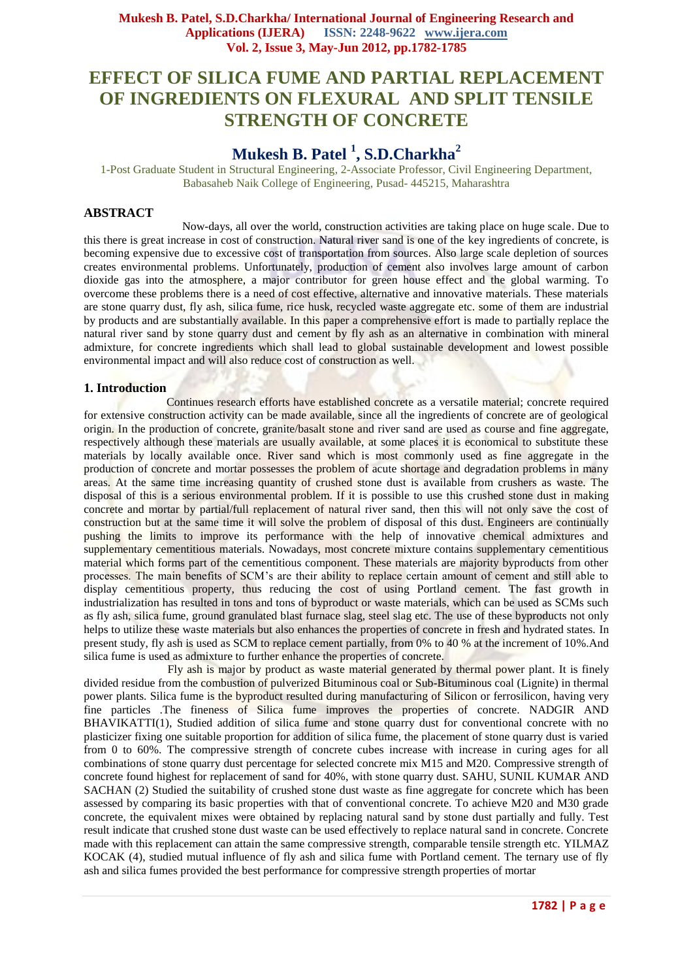# **EFFECT OF SILICA FUME AND PARTIAL REPLACEMENT OF INGREDIENTS ON FLEXURAL AND SPLIT TENSILE STRENGTH OF CONCRETE**

# **Mukesh B. Patel <sup>1</sup> , S.D.Charkha<sup>2</sup>**

1-Post Graduate Student in Structural Engineering, 2-Associate Professor, Civil Engineering Department, Babasaheb Naik College of Engineering, Pusad- 445215, Maharashtra

# **ABSTRACT**

 Now-days, all over the world, construction activities are taking place on huge scale. Due to this there is great increase in cost of construction. Natural river sand is one of the key ingredients of concrete, is becoming expensive due to excessive cost of transportation from sources. Also large scale depletion of sources creates environmental problems. Unfortunately, production of cement also involves large amount of carbon dioxide gas into the atmosphere, a major contributor for green house effect and the global warming. To overcome these problems there is a need of cost effective, alternative and innovative materials. These materials are stone quarry dust, fly ash, silica fume, rice husk, recycled waste aggregate etc. some of them are industrial by products and are substantially available. In this paper a comprehensive effort is made to partially replace the natural river sand by stone quarry dust and cement by fly ash as an alternative in combination with mineral admixture, for concrete ingredients which shall lead to global sustainable development and lowest possible environmental impact and will also reduce cost of construction as well.

## **1. Introduction**

 Continues research efforts have established concrete as a versatile material; concrete required for extensive construction activity can be made available, since all the ingredients of concrete are of geological origin. In the production of concrete, granite/basalt stone and river sand are used as course and fine aggregate, respectively although these materials are usually available, at some places it is economical to substitute these materials by locally available once. River sand which is most commonly used as fine aggregate in the production of concrete and mortar possesses the problem of acute shortage and degradation problems in many areas. At the same time increasing quantity of crushed stone dust is available from crushers as waste. The disposal of this is a serious environmental problem. If it is possible to use this crushed stone dust in making concrete and mortar by partial/full replacement of natural river sand, then this will not only save the cost of construction but at the same time it will solve the problem of disposal of this dust. Engineers are continually pushing the limits to improve its performance with the help of innovative chemical admixtures and supplementary cementitious materials. Nowadays, most concrete mixture contains supplementary cementitious material which forms part of the cementitious component. These materials are majority byproducts from other processes. The main benefits of SCM's are their ability to replace certain amount of cement and still able to display cementitious property, thus reducing the cost of using Portland cement. The fast growth in industrialization has resulted in tons and tons of byproduct or waste materials, which can be used as SCMs such as fly ash, silica fume, ground granulated blast furnace slag, steel slag etc. The use of these byproducts not only helps to utilize these waste materials but also enhances the properties of concrete in fresh and hydrated states. In present study, fly ash is used as SCM to replace cement partially, from 0% to 40 % at the increment of 10%.And silica fume is used as admixture to further enhance the properties of concrete.

Fly ash is major by product as waste material generated by thermal power plant. It is finely divided residue from the combustion of pulverized Bituminous coal or Sub-Bituminous coal (Lignite) in thermal power plants. Silica fume is the byproduct resulted during manufacturing of Silicon or ferrosilicon, having very fine particles .The fineness of Silica fume improves the properties of concrete. NADGIR AND BHAVIKATTI(1), Studied addition of silica fume and stone quarry dust for conventional concrete with no plasticizer fixing one suitable proportion for addition of silica fume, the placement of stone quarry dust is varied from 0 to 60%. The compressive strength of concrete cubes increase with increase in curing ages for all combinations of stone quarry dust percentage for selected concrete mix M15 and M20. Compressive strength of concrete found highest for replacement of sand for 40%, with stone quarry dust. SAHU, SUNIL KUMAR AND SACHAN (2) Studied the suitability of crushed stone dust waste as fine aggregate for concrete which has been assessed by comparing its basic properties with that of conventional concrete. To achieve M20 and M30 grade concrete, the equivalent mixes were obtained by replacing natural sand by stone dust partially and fully. Test result indicate that crushed stone dust waste can be used effectively to replace natural sand in concrete. Concrete made with this replacement can attain the same compressive strength, comparable tensile strength etc. YILMAZ KOCAK (4), studied mutual influence of fly ash and silica fume with Portland cement. The ternary use of fly ash and silica fumes provided the best performance for compressive strength properties of mortar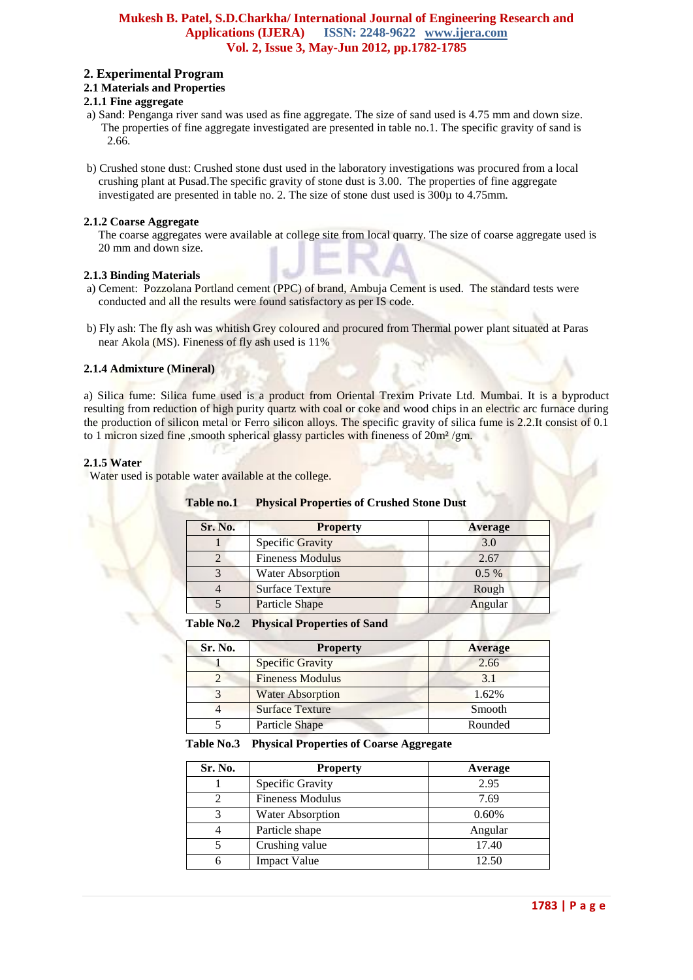## **Mukesh B. Patel, S.D.Charkha/ International Journal of Engineering Research and Applications (IJERA) ISSN: 2248-9622 www.ijera.com Vol. 2, Issue 3, May-Jun 2012, pp.1782-1785**

# **2. Experimental Program**

## **2.1 Materials and Properties**

# **2.1.1 Fine aggregate**

- a) Sand: Penganga river sand was used as fine aggregate. The size of sand used is 4.75 mm and down size. The properties of fine aggregate investigated are presented in table no.1. The specific gravity of sand is 2.66.
- b) Crushed stone dust: Crushed stone dust used in the laboratory investigations was procured from a local crushing plant at Pusad.The specific gravity of stone dust is 3.00. The properties of fine aggregate investigated are presented in table no. 2. The size of stone dust used is 300µ to 4.75mm.

## **2.1.2 Coarse Aggregate**

 The coarse aggregates were available at college site from local quarry. The size of coarse aggregate used is 20 mm and down size.

# **2.1.3 Binding Materials**

- a) Cement: Pozzolana Portland cement (PPC) of brand, Ambuja Cement is used. The standard tests were conducted and all the results were found satisfactory as per IS code.
- b) Fly ash: The fly ash was whitish Grey coloured and procured from Thermal power plant situated at Paras near Akola (MS). Fineness of fly ash used is 11%

## **2.1.4 Admixture (Mineral)**

a) Silica fume: Silica fume used is a product from Oriental Trexim Private Ltd. Mumbai. It is a byproduct resulting from reduction of high purity quartz with coal or coke and wood chips in an electric arc furnace during the production of silicon metal or Ferro silicon alloys. The specific gravity of silica fume is 2.2.It consist of 0.1 to 1 micron sized fine, smooth spherical glassy particles with fineness of  $20m^2/gm$ .

# **2.1.5 Water**

Water used is potable water available at the college.

| Sr. No. | <b>Property</b>         | <b>Average</b> |
|---------|-------------------------|----------------|
|         | <b>Specific Gravity</b> | 3.0            |
|         | <b>Fineness Modulus</b> | 2.67           |
|         | <b>Water Absorption</b> | $0.5\%$        |
|         | <b>Surface Texture</b>  | Rough          |
|         | <b>Particle Shape</b>   | Angular        |

## **Table no.1 Physical Properties of Crushed Stone Dust**

#### **Table No.2 Physical Properties of Sand**

| Sr. No. | <b>Property</b>         | <b>Average</b> |  |  |
|---------|-------------------------|----------------|--|--|
|         | <b>Specific Gravity</b> | 2.66           |  |  |
|         | <b>Fineness Modulus</b> | 3.1            |  |  |
|         | <b>Water Absorption</b> | 1.62%          |  |  |
|         | <b>Surface Texture</b>  | Smooth         |  |  |
|         | <b>Particle Shape</b>   | Rounded        |  |  |

#### **Table No.3 Physical Properties of Coarse Aggregate**

| Sr. No. | <b>Property</b>         | Average |  |
|---------|-------------------------|---------|--|
|         | Specific Gravity        | 2.95    |  |
|         | <b>Fineness Modulus</b> | 7.69    |  |
| 3       | <b>Water Absorption</b> | 0.60%   |  |
|         | Particle shape          | Angular |  |
|         | Crushing value          | 17.40   |  |
|         | <b>Impact Value</b>     | 12.50   |  |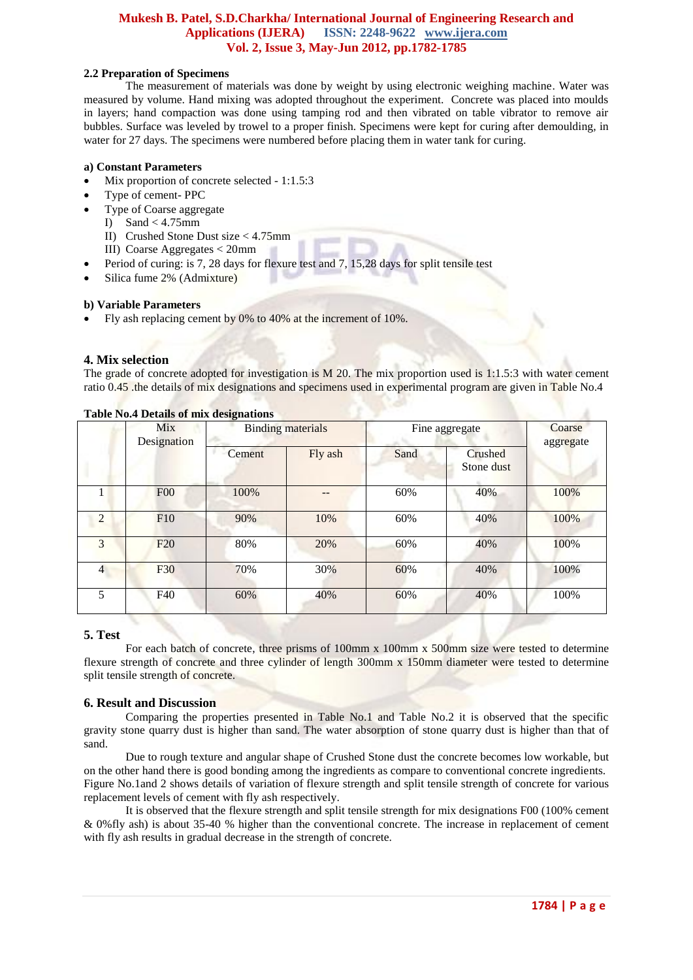## **Mukesh B. Patel, S.D.Charkha/ International Journal of Engineering Research and Applications (IJERA) ISSN: 2248-9622 www.ijera.com Vol. 2, Issue 3, May-Jun 2012, pp.1782-1785**

## **2.2 Preparation of Specimens**

The measurement of materials was done by weight by using electronic weighing machine. Water was measured by volume. Hand mixing was adopted throughout the experiment. Concrete was placed into moulds in layers; hand compaction was done using tamping rod and then vibrated on table vibrator to remove air bubbles. Surface was leveled by trowel to a proper finish. Specimens were kept for curing after demoulding, in water for 27 days. The specimens were numbered before placing them in water tank for curing.

## **a) Constant Parameters**

- Mix proportion of concrete selected 1:1.5:3
- Type of cement- PPC
- Type of Coarse aggregate
	- I) Sand <  $4.75$ mm
	- II) Crushed Stone Dust size < 4.75mm
	- III) Coarse Aggregates < 20mm
- Period of curing: is 7, 28 days for flexure test and 7, 15,28 days for split tensile test
- Silica fume 2% (Admixture)

## **b) Variable Parameters**

Fly ash replacing cement by 0% to 40% at the increment of 10%.

# **4. Mix selection**

The grade of concrete adopted for investigation is M 20. The mix proportion used is 1:1.5:3 with water cement ratio 0.45 .the details of mix designations and specimens used in experimental program are given in Table No.4

|                | Mix<br>Designation | <b>Binding materials</b> |         | Fine aggregate |                       | Coarse<br>aggregate |
|----------------|--------------------|--------------------------|---------|----------------|-----------------------|---------------------|
|                |                    | Cement                   | Fly ash | Sand           | Crushed<br>Stone dust |                     |
|                | F00                | 100%                     |         | 60%            | 40%                   | 100%                |
| $\overline{2}$ | F10                | 90%                      | 10%     | 60%            | 40%                   | 100%                |
| 3              | F20                | 80%                      | 20%     | 60%            | 40%                   | 100%                |
| 4              | F30                | 70%                      | 30%     | 60%            | 40%                   | 100%                |
| 5              | F40                | 60%                      | 40%     | 60%            | 40%                   | 100%                |

# **Table No.4 Details of mix designations**

# **5. Test**

For each batch of concrete, three prisms of 100mm x 100mm x 500mm size were tested to determine flexure strength of concrete and three cylinder of length 300mm x 150mm diameter were tested to determine split tensile strength of concrete.

# **6. Result and Discussion**

Comparing the properties presented in Table No.1 and Table No.2 it is observed that the specific gravity stone quarry dust is higher than sand. The water absorption of stone quarry dust is higher than that of sand.

Due to rough texture and angular shape of Crushed Stone dust the concrete becomes low workable, but on the other hand there is good bonding among the ingredients as compare to conventional concrete ingredients. Figure No.1and 2 shows details of variation of flexure strength and split tensile strength of concrete for various replacement levels of cement with fly ash respectively.

It is observed that the flexure strength and split tensile strength for mix designations F00 (100% cement & 0%fly ash) is about 35-40 % higher than the conventional concrete. The increase in replacement of cement with fly ash results in gradual decrease in the strength of concrete.